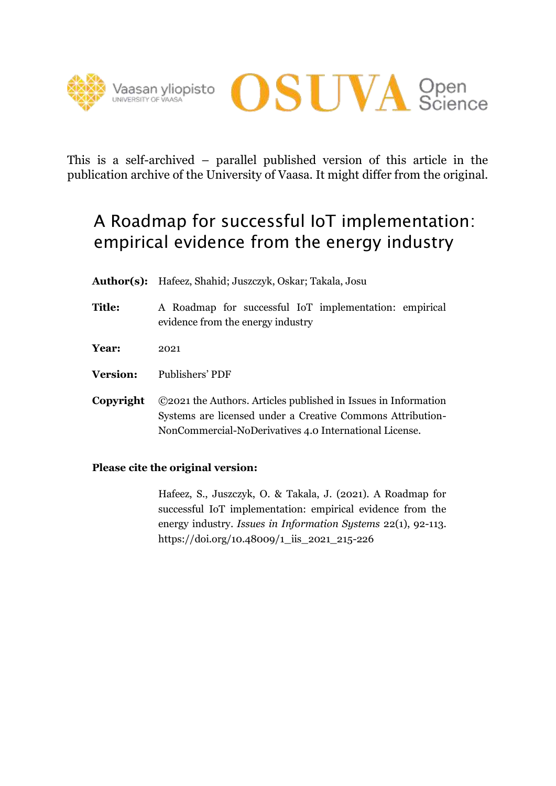



This is a self-archived – parallel published version of this article in the publication archive of the University of Vaasa. It might differ from the original.

# A Roadmap for successful IoT implementation: empirical evidence from the energy industry

- **Author(s):** Hafeez, Shahid; Juszczyk, Oskar; Takala, Josu
- **Title:** A Roadmap for successful IoT implementation: empirical evidence from the energy industry
- **Year:** 2021
- **Version:** Publishers' PDF
- **Copyright** ©2021 the Authors. Articles published in Issues in Information Systems are licensed under a Creative Commons Attribution-NonCommercial-NoDerivatives 4.0 International License.

## **Please cite the original version:**

Hafeez, S., Juszczyk, O. & Takala, J. (2021). A Roadmap for successful IoT implementation: empirical evidence from the energy industry. *Issues in Information Systems* 22(1), 92-113. https://doi.org/10.48009/1\_iis\_2021\_215-226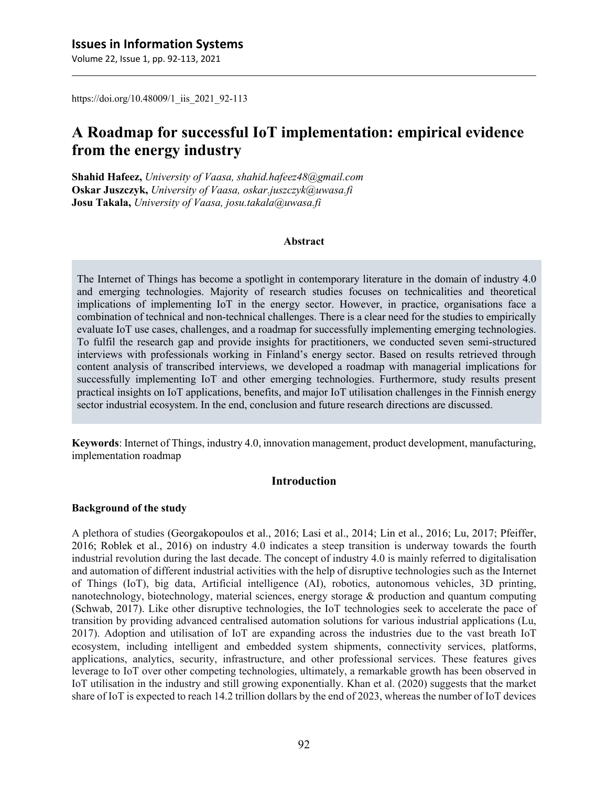https://doi.org/10.48009/1\_iis\_2021\_92-113

## **A Roadmap for successful IoT implementation: empirical evidence from the energy industry**

**Shahid Hafeez,** *University of Vaasa, shahid.hafeez48@gmail.com* **Oskar Juszczyk,** *University of Vaasa, oskar.juszczyk@uwasa.fi* **Josu Takala,** *University of Vaasa, josu.takala@uwasa.fi*

#### **Abstract**

The Internet of Things has become a spotlight in contemporary literature in the domain of industry 4.0 and emerging technologies. Majority of research studies focuses on technicalities and theoretical implications of implementing IoT in the energy sector. However, in practice, organisations face a combination of technical and non-technical challenges. There is a clear need for the studies to empirically evaluate IoT use cases, challenges, and a roadmap for successfully implementing emerging technologies. To fulfil the research gap and provide insights for practitioners, we conducted seven semi-structured interviews with professionals working in Finland's energy sector. Based on results retrieved through content analysis of transcribed interviews, we developed a roadmap with managerial implications for successfully implementing IoT and other emerging technologies. Furthermore, study results present practical insights on IoT applications, benefits, and major IoT utilisation challenges in the Finnish energy sector industrial ecosystem. In the end, conclusion and future research directions are discussed.

**Keywords**: Internet of Things, industry 4.0, innovation management, product development, manufacturing, implementation roadmap

#### **Introduction**

#### **Background of the study**

A plethora of studies (Georgakopoulos et al., 2016; Lasi et al., 2014; Lin et al., 2016; Lu, 2017; Pfeiffer, 2016; Roblek et al., 2016) on industry 4.0 indicates a steep transition is underway towards the fourth industrial revolution during the last decade. The concept of industry 4.0 is mainly referred to digitalisation and automation of different industrial activities with the help of disruptive technologies such as the Internet of Things (IoT), big data, Artificial intelligence (AI), robotics, autonomous vehicles, 3D printing, nanotechnology, biotechnology, material sciences, energy storage & production and quantum computing (Schwab, 2017). Like other disruptive technologies, the IoT technologies seek to accelerate the pace of transition by providing advanced centralised automation solutions for various industrial applications (Lu, 2017). Adoption and utilisation of IoT are expanding across the industries due to the vast breath IoT ecosystem, including intelligent and embedded system shipments, connectivity services, platforms, applications, analytics, security, infrastructure, and other professional services. These features gives leverage to IoT over other competing technologies, ultimately, a remarkable growth has been observed in IoT utilisation in the industry and still growing exponentially. Khan et al. (2020) suggests that the market share of IoT is expected to reach 14.2 trillion dollars by the end of 2023, whereas the number of IoT devices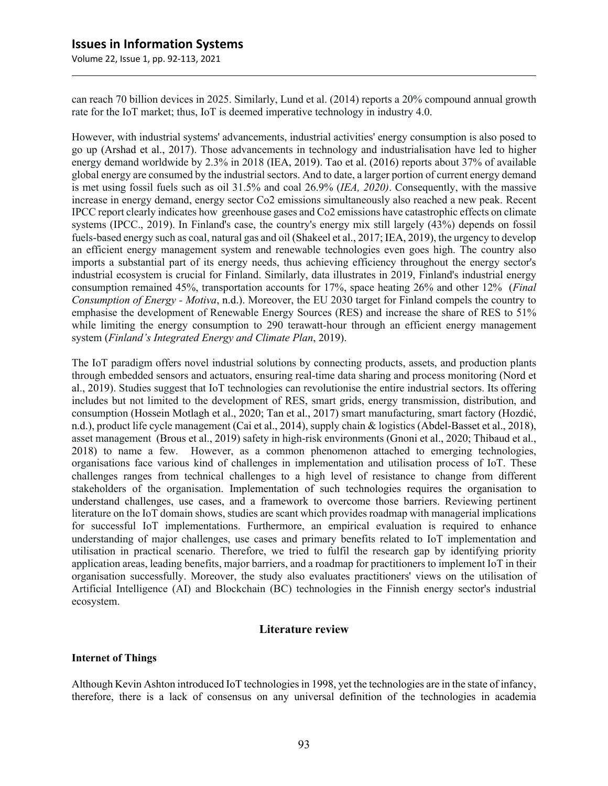Volume 22, Issue 1, pp. 92-113, 2021

can reach 70 billion devices in 2025. Similarly, Lund et al. (2014) reports a 20% compound annual growth rate for the IoT market; thus, IoT is deemed imperative technology in industry 4.0.

However, with industrial systems' advancements, industrial activities' energy consumption is also posed to go up (Arshad et al., 2017). Those advancements in technology and industrialisation have led to higher energy demand worldwide by 2.3% in 2018 (IEA, 2019). Tao et al. (2016) reports about 37% of available global energy are consumed by the industrial sectors. And to date, a larger portion of current energy demand is met using fossil fuels such as oil 31.5% and coal 26.9% (*IEA, 2020)*. Consequently, with the massive increase in energy demand, energy sector Co2 emissions simultaneously also reached a new peak. Recent IPCC report clearly indicates how greenhouse gases and Co2 emissions have catastrophic effects on climate systems (IPCC., 2019). In Finland's case, the country's energy mix still largely (43%) depends on fossil fuels-based energy such as coal, natural gas and oil (Shakeel et al., 2017; IEA, 2019), the urgency to develop an efficient energy management system and renewable technologies even goes high. The country also imports a substantial part of its energy needs, thus achieving efficiency throughout the energy sector's industrial ecosystem is crucial for Finland. Similarly, data illustrates in 2019, Finland's industrial energy consumption remained 45%, transportation accounts for 17%, space heating 26% and other 12% (*Final Consumption of Energy - Motiva*, n.d.). Moreover, the EU 2030 target for Finland compels the country to emphasise the development of Renewable Energy Sources (RES) and increase the share of RES to 51% while limiting the energy consumption to 290 terawatt-hour through an efficient energy management system (*Finland's Integrated Energy and Climate Plan*, 2019).

The IoT paradigm offers novel industrial solutions by connecting products, assets, and production plants through embedded sensors and actuators, ensuring real-time data sharing and process monitoring (Nord et al., 2019). Studies suggest that IoT technologies can revolutionise the entire industrial sectors. Its offering includes but not limited to the development of RES, smart grids, energy transmission, distribution, and consumption (Hossein Motlagh et al., 2020; Tan et al., 2017) smart manufacturing, smart factory (Hozdić, n.d.), product life cycle management (Cai et al., 2014), supply chain & logistics (Abdel-Basset et al., 2018), asset management (Brous et al., 2019) safety in high-risk environments (Gnoni et al., 2020; Thibaud et al., 2018) to name a few. However, as a common phenomenon attached to emerging technologies, organisations face various kind of challenges in implementation and utilisation process of IoT. These challenges ranges from technical challenges to a high level of resistance to change from different stakeholders of the organisation. Implementation of such technologies requires the organisation to understand challenges, use cases, and a framework to overcome those barriers. Reviewing pertinent literature on the IoT domain shows, studies are scant which provides roadmap with managerial implications for successful IoT implementations. Furthermore, an empirical evaluation is required to enhance understanding of major challenges, use cases and primary benefits related to IoT implementation and utilisation in practical scenario. Therefore, we tried to fulfil the research gap by identifying priority application areas, leading benefits, major barriers, and a roadmap for practitioners to implement IoT in their organisation successfully. Moreover, the study also evaluates practitioners' views on the utilisation of Artificial Intelligence (AI) and Blockchain (BC) technologies in the Finnish energy sector's industrial ecosystem.

#### **Literature review**

#### **Internet of Things**

Although Kevin Ashton introduced IoT technologiesin 1998, yet the technologies are in the state of infancy, therefore, there is a lack of consensus on any universal definition of the technologies in academia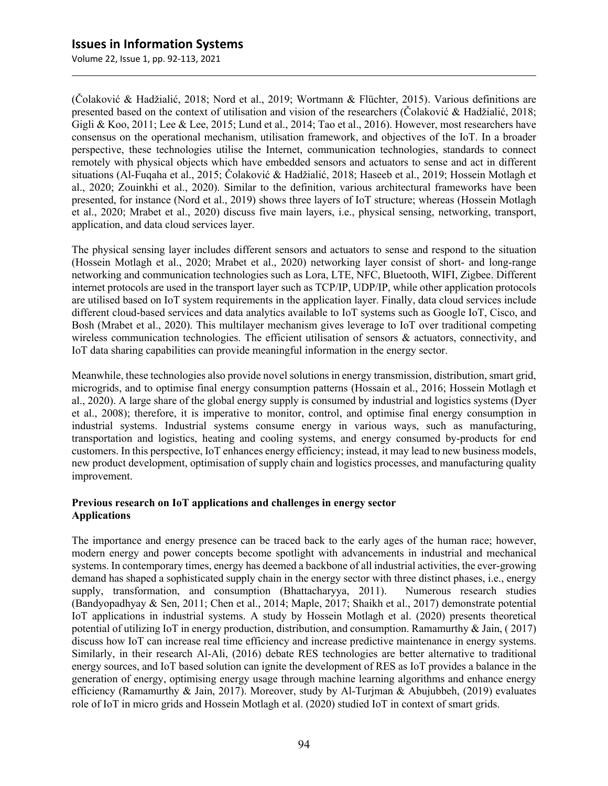(Čolaković & Hadžialić, 2018; Nord et al., 2019; Wortmann & Flüchter, 2015). Various definitions are presented based on the context of utilisation and vision of the researchers (Čolaković & Hadžialić, 2018; Gigli & Koo, 2011; Lee & Lee, 2015; Lund et al., 2014; Tao et al., 2016). However, most researchers have consensus on the operational mechanism, utilisation framework, and objectives of the IoT. In a broader perspective, these technologies utilise the Internet, communication technologies, standards to connect remotely with physical objects which have embedded sensors and actuators to sense and act in different situations (Al-Fuqaha et al., 2015; Čolaković & Hadžialić, 2018; Haseeb et al., 2019; Hossein Motlagh et al., 2020; Zouinkhi et al., 2020). Similar to the definition, various architectural frameworks have been presented, for instance (Nord et al., 2019) shows three layers of IoT structure; whereas (Hossein Motlagh et al., 2020; Mrabet et al., 2020) discuss five main layers, i.e., physical sensing, networking, transport, application, and data cloud services layer.

The physical sensing layer includes different sensors and actuators to sense and respond to the situation (Hossein Motlagh et al., 2020; Mrabet et al., 2020) networking layer consist of short- and long-range networking and communication technologies such as Lora, LTE, NFC, Bluetooth, WIFI, Zigbee. Different internet protocols are used in the transport layer such as TCP/IP, UDP/IP, while other application protocols are utilised based on IoT system requirements in the application layer. Finally, data cloud services include different cloud-based services and data analytics available to IoT systems such as Google IoT, Cisco, and Bosh (Mrabet et al., 2020). This multilayer mechanism gives leverage to IoT over traditional competing wireless communication technologies. The efficient utilisation of sensors  $\&$  actuators, connectivity, and IoT data sharing capabilities can provide meaningful information in the energy sector.

Meanwhile, these technologies also provide novel solutions in energy transmission, distribution, smart grid, microgrids, and to optimise final energy consumption patterns (Hossain et al., 2016; Hossein Motlagh et al., 2020). A large share of the global energy supply is consumed by industrial and logistics systems (Dyer et al., 2008); therefore, it is imperative to monitor, control, and optimise final energy consumption in industrial systems. Industrial systems consume energy in various ways, such as manufacturing, transportation and logistics, heating and cooling systems, and energy consumed by-products for end customers. In this perspective, IoT enhances energy efficiency; instead, it may lead to new business models, new product development, optimisation of supply chain and logistics processes, and manufacturing quality improvement.

#### **Previous research on IoT applications and challenges in energy sector Applications**

The importance and energy presence can be traced back to the early ages of the human race; however, modern energy and power concepts become spotlight with advancements in industrial and mechanical systems. In contemporary times, energy has deemed a backbone of all industrial activities, the ever-growing demand has shaped a sophisticated supply chain in the energy sector with three distinct phases, i.e., energy supply, transformation, and consumption (Bhattacharyya, 2011). Numerous research studies (Bandyopadhyay & Sen, 2011; Chen et al., 2014; Maple, 2017; Shaikh et al., 2017) demonstrate potential IoT applications in industrial systems. A study by Hossein Motlagh et al. (2020) presents theoretical potential of utilizing IoT in energy production, distribution, and consumption. Ramamurthy & Jain,  $(2017)$ discuss how IoT can increase real time efficiency and increase predictive maintenance in energy systems. Similarly, in their research Al-Ali, (2016) debate RES technologies are better alternative to traditional energy sources, and IoT based solution can ignite the development of RES as IoT provides a balance in the generation of energy, optimising energy usage through machine learning algorithms and enhance energy efficiency (Ramamurthy & Jain, 2017). Moreover, study by Al-Turjman & Abujubbeh, (2019) evaluates role of IoT in micro grids and Hossein Motlagh et al. (2020) studied IoT in context of smart grids.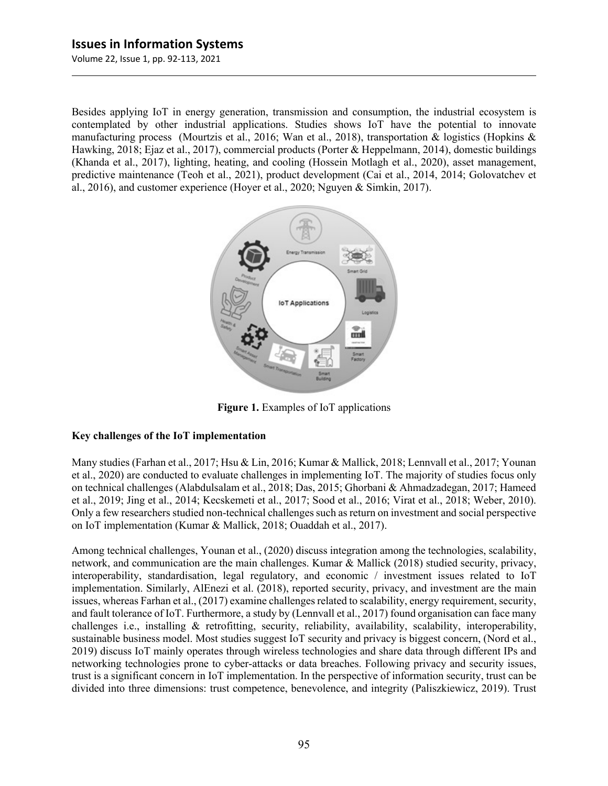Volume 22, Issue 1, pp. 92-113, 2021

Besides applying IoT in energy generation, transmission and consumption, the industrial ecosystem is contemplated by other industrial applications. Studies shows IoT have the potential to innovate manufacturing process (Mourtzis et al., 2016; Wan et al., 2018), transportation & logistics (Hopkins & Hawking, 2018; Ejaz et al., 2017), commercial products (Porter & Heppelmann, 2014), domestic buildings (Khanda et al., 2017), lighting, heating, and cooling (Hossein Motlagh et al., 2020), asset management, predictive maintenance (Teoh et al., 2021), product development (Cai et al., 2014, 2014; Golovatchev et al., 2016), and customer experience (Hoyer et al., 2020; Nguyen & Simkin, 2017).



**Figure 1.** Examples of IoT applications

#### **Key challenges of the IoT implementation**

Many studies (Farhan et al., 2017; Hsu & Lin, 2016; Kumar & Mallick, 2018; Lennvall et al., 2017; Younan et al., 2020) are conducted to evaluate challenges in implementing IoT. The majority of studies focus only on technical challenges (Alabdulsalam et al., 2018; Das, 2015; Ghorbani & Ahmadzadegan, 2017; Hameed et al., 2019; Jing et al., 2014; Kecskemeti et al., 2017; Sood et al., 2016; Virat et al., 2018; Weber, 2010). Only a few researchers studied non-technical challenges such as return on investment and social perspective on IoT implementation (Kumar & Mallick, 2018; Ouaddah et al., 2017).

Among technical challenges, Younan et al., (2020) discuss integration among the technologies, scalability, network, and communication are the main challenges. Kumar & Mallick (2018) studied security, privacy, interoperability, standardisation, legal regulatory, and economic / investment issues related to IoT implementation. Similarly, AlEnezi et al. (2018), reported security, privacy, and investment are the main issues, whereas Farhan et al., (2017) examine challenges related to scalability, energy requirement, security, and fault tolerance of IoT. Furthermore, a study by (Lennvall et al., 2017) found organisation can face many challenges i.e., installing & retrofitting, security, reliability, availability, scalability, interoperability, sustainable business model. Most studies suggest IoT security and privacy is biggest concern, (Nord et al., 2019) discuss IoT mainly operates through wireless technologies and share data through different IPs and networking technologies prone to cyber-attacks or data breaches. Following privacy and security issues, trust is a significant concern in IoT implementation. In the perspective of information security, trust can be divided into three dimensions: trust competence, benevolence, and integrity (Paliszkiewicz, 2019). Trust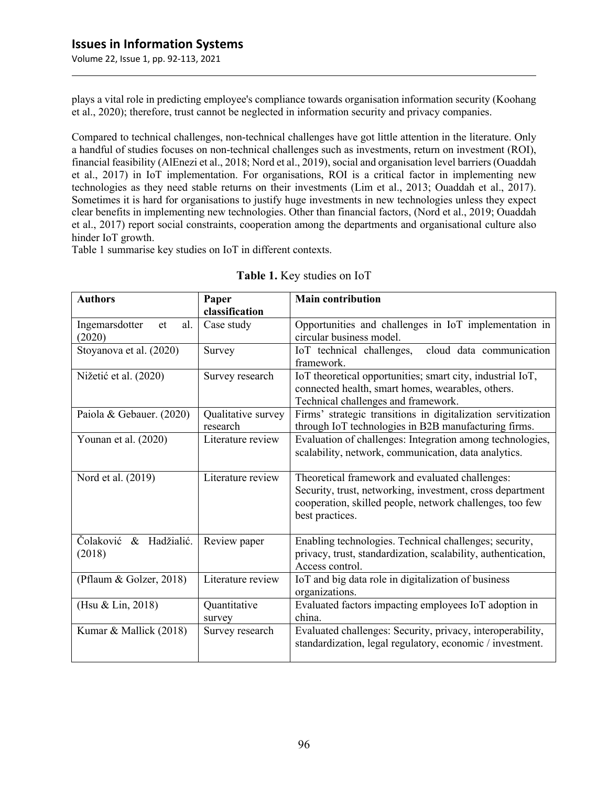plays a vital role in predicting employee's compliance towards organisation information security (Koohang et al., 2020); therefore, trust cannot be neglected in information security and privacy companies.

Compared to technical challenges, non-technical challenges have got little attention in the literature. Only a handful of studies focuses on non-technical challenges such as investments, return on investment (ROI), financial feasibility (AlEnezi et al., 2018; Nord et al., 2019), social and organisation level barriers (Ouaddah et al., 2017) in IoT implementation. For organisations, ROI is a critical factor in implementing new technologies as they need stable returns on their investments (Lim et al., 2013; Ouaddah et al., 2017). Sometimes it is hard for organisations to justify huge investments in new technologies unless they expect clear benefits in implementing new technologies. Other than financial factors, (Nord et al., 2019; Ouaddah et al., 2017) report social constraints, cooperation among the departments and organisational culture also hinder IoT growth.

Table 1 summarise key studies on IoT in different contexts.

| <b>Authors</b>                        | Paper                          | <b>Main contribution</b>                                                                                                                                                                    |
|---------------------------------------|--------------------------------|---------------------------------------------------------------------------------------------------------------------------------------------------------------------------------------------|
|                                       | classification                 |                                                                                                                                                                                             |
| Ingemarsdotter<br>al.<br>et<br>(2020) | Case study                     | Opportunities and challenges in IoT implementation in<br>circular business model.                                                                                                           |
| Stoyanova et al. (2020)               | Survey                         | cloud data communication<br>IoT technical challenges,<br>framework.                                                                                                                         |
| Nižetić et al. (2020)                 | Survey research                | IoT theoretical opportunities; smart city, industrial IoT,<br>connected health, smart homes, wearables, others.<br>Technical challenges and framework.                                      |
| Paiola & Gebauer. (2020)              | Qualitative survey<br>research | Firms' strategic transitions in digitalization servitization<br>through IoT technologies in B2B manufacturing firms.                                                                        |
| Younan et al. (2020)                  | Literature review              | Evaluation of challenges: Integration among technologies,<br>scalability, network, communication, data analytics.                                                                           |
| Nord et al. (2019)                    | Literature review              | Theoretical framework and evaluated challenges:<br>Security, trust, networking, investment, cross department<br>cooperation, skilled people, network challenges, too few<br>best practices. |
| Čolaković<br>& Hadžialić.<br>(2018)   | Review paper                   | Enabling technologies. Technical challenges; security,<br>privacy, trust, standardization, scalability, authentication,<br>Access control.                                                  |
| (Pflaum & Golzer, 2018)               | Literature review              | IoT and big data role in digitalization of business<br>organizations.                                                                                                                       |
| (Hsu & Lin, 2018)                     | Quantitative<br>survey         | Evaluated factors impacting employees IoT adoption in<br>china.                                                                                                                             |
| Kumar & Mallick (2018)                | Survey research                | Evaluated challenges: Security, privacy, interoperability,<br>standardization, legal regulatory, economic / investment.                                                                     |

**Table 1.** Key studies on IoT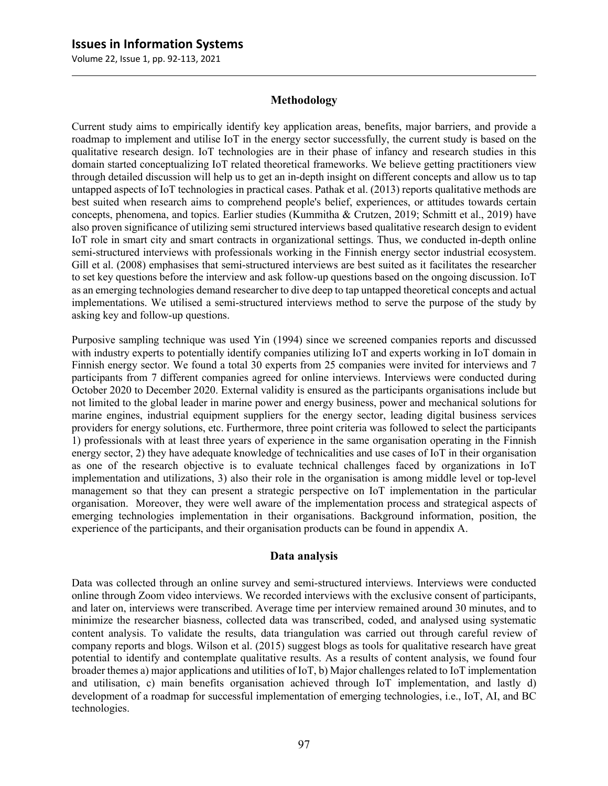Volume 22, Issue 1, pp. 92-113, 2021

#### **Methodology**

Current study aims to empirically identify key application areas, benefits, major barriers, and provide a roadmap to implement and utilise IoT in the energy sector successfully, the current study is based on the qualitative research design. IoT technologies are in their phase of infancy and research studies in this domain started conceptualizing IoT related theoretical frameworks. We believe getting practitioners view through detailed discussion will help us to get an in-depth insight on different concepts and allow us to tap untapped aspects of IoT technologies in practical cases. Pathak et al. (2013) reports qualitative methods are best suited when research aims to comprehend people's belief, experiences, or attitudes towards certain concepts, phenomena, and topics. Earlier studies (Kummitha & Crutzen, 2019; Schmitt et al., 2019) have also proven significance of utilizing semi structured interviews based qualitative research design to evident IoT role in smart city and smart contracts in organizational settings. Thus, we conducted in-depth online semi-structured interviews with professionals working in the Finnish energy sector industrial ecosystem. Gill et al. (2008) emphasises that semi-structured interviews are best suited as it facilitates the researcher to set key questions before the interview and ask follow-up questions based on the ongoing discussion. IoT as an emerging technologies demand researcher to dive deep to tap untapped theoretical concepts and actual implementations. We utilised a semi-structured interviews method to serve the purpose of the study by asking key and follow-up questions.

Purposive sampling technique was used Yin (1994) since we screened companies reports and discussed with industry experts to potentially identify companies utilizing IoT and experts working in IoT domain in Finnish energy sector. We found a total 30 experts from 25 companies were invited for interviews and 7 participants from 7 different companies agreed for online interviews. Interviews were conducted during October 2020 to December 2020. External validity is ensured as the participants organisations include but not limited to the global leader in marine power and energy business, power and mechanical solutions for marine engines, industrial equipment suppliers for the energy sector, leading digital business services providers for energy solutions, etc. Furthermore, three point criteria was followed to select the participants 1) professionals with at least three years of experience in the same organisation operating in the Finnish energy sector, 2) they have adequate knowledge of technicalities and use cases of IoT in their organisation as one of the research objective is to evaluate technical challenges faced by organizations in IoT implementation and utilizations, 3) also their role in the organisation is among middle level or top-level management so that they can present a strategic perspective on IoT implementation in the particular organisation. Moreover, they were well aware of the implementation process and strategical aspects of emerging technologies implementation in their organisations. Background information, position, the experience of the participants, and their organisation products can be found in appendix A.

#### **Data analysis**

Data was collected through an online survey and semi-structured interviews. Interviews were conducted online through Zoom video interviews. We recorded interviews with the exclusive consent of participants, and later on, interviews were transcribed. Average time per interview remained around 30 minutes, and to minimize the researcher biasness, collected data was transcribed, coded, and analysed using systematic content analysis. To validate the results, data triangulation was carried out through careful review of company reports and blogs. Wilson et al. (2015) suggest blogs as tools for qualitative research have great potential to identify and contemplate qualitative results. As a results of content analysis, we found four broader themes a) major applications and utilities of IoT, b) Major challenges related to IoT implementation and utilisation, c) main benefits organisation achieved through IoT implementation, and lastly d) development of a roadmap for successful implementation of emerging technologies, i.e., IoT, AI, and BC technologies.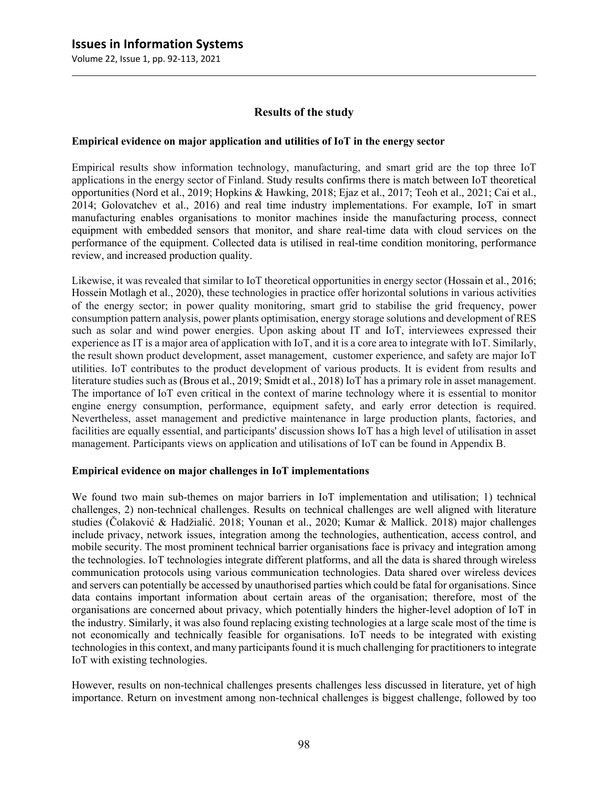#### **Results of the study**

#### **Empirical evidence on major application and utilities of IoT in the energy sector**

Empirical results show information technology, manufacturing, and smart grid are the top three IoT applications in the energy sector of Finland. Study results confirms there is match between IoT theoretical opportunities (Nord et al., 2019; Hopkins & Hawking, 2018; Ejaz et al., 2017; Teoh et al., 2021; Cai et al., 2014; Golovatchev et al., 2016) and real time industry implementations. For example, IoT in smart manufacturing enables organisations to monitor machines inside the manufacturing process, connect equipment with embedded sensors that monitor, and share real-time data with cloud services on the performance of the equipment. Collected data is utilised in real-time condition monitoring, performance review, and increased production quality.

Likewise, it was revealed that similar to IoT theoretical opportunities in energy sector (Hossain et al., 2016; Hossein Motlagh et al., 2020), these technologies in practice offer horizontal solutions in various activities of the energy sector; in power quality monitoring, smart grid to stabilise the grid frequency, power consumption pattern analysis, power plants optimisation, energy storage solutions and development of RES such as solar and wind power energies. Upon asking about IT and IoT, interviewees expressed their experience as IT is a major area of application with IoT, and it is a core area to integrate with IoT. Similarly, the result shown product development, asset management, customer experience, and safety are major IoT utilities. IoT contributes to the product development of various products. It is evident from results and literature studies such as (Brous et al., 2019; Smidt et al., 2018) IoT has a primary role in asset management. The importance of IoT even critical in the context of marine technology where it is essential to monitor engine energy consumption, performance, equipment safety, and early error detection is required. Nevertheless, asset management and predictive maintenance in large production plants, factories, and facilities are equally essential, and participants' discussion shows IoT has a high level of utilisation in asset management. Participants views on application and utilisations of IoT can be found in Appendix B.

#### **Empirical evidence on major challenges in IoT implementations**

We found two main sub-themes on major barriers in IoT implementation and utilisation; 1) technical challenges, 2) non-technical challenges. Results on technical challenges are well aligned with literature studies (Čolaković & Hadžialić. 2018; Younan et al., 2020; Kumar & Mallick. 2018) major challenges include privacy, network issues, integration among the technologies, authentication, access control, and mobile security. The most prominent technical barrier organisations face is privacy and integration among the technologies. IoT technologies integrate different platforms, and all the data is shared through wireless communication protocols using various communication technologies. Data shared over wireless devices and servers can potentially be accessed by unauthorised parties which could be fatal for organisations. Since data contains important information about certain areas of the organisation; therefore, most of the organisations are concerned about privacy, which potentially hinders the higher-level adoption of IoT in the industry. Similarly, it was also found replacing existing technologies at a large scale most of the time is not economically and technically feasible for organisations. IoT needs to be integrated with existing technologies in this context, and many participants found it is much challenging for practitioners to integrate IoT with existing technologies.

However, results on non-technical challenges presents challenges less discussed in literature, yet of high importance. Return on investment among non-technical challenges is biggest challenge, followed by too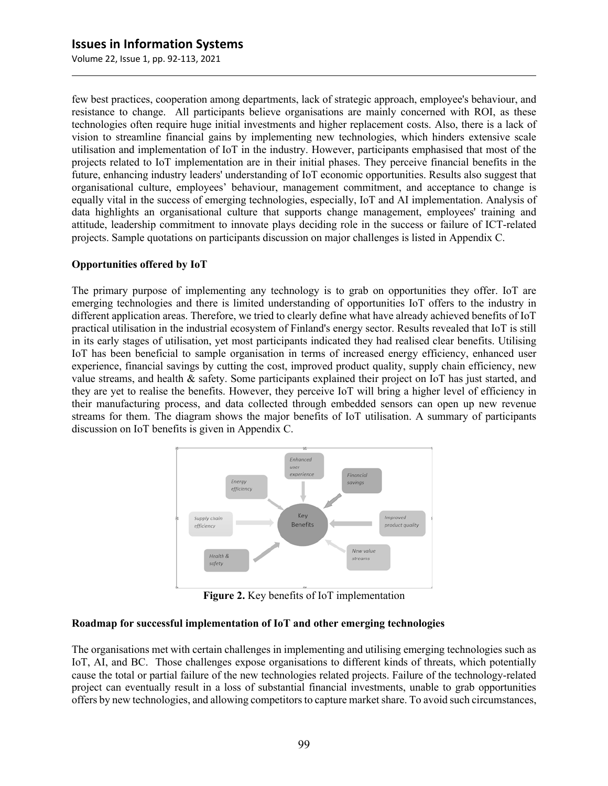few best practices, cooperation among departments, lack of strategic approach, employee's behaviour, and resistance to change. All participants believe organisations are mainly concerned with ROI, as these technologies often require huge initial investments and higher replacement costs. Also, there is a lack of vision to streamline financial gains by implementing new technologies, which hinders extensive scale utilisation and implementation of IoT in the industry. However, participants emphasised that most of the projects related to IoT implementation are in their initial phases. They perceive financial benefits in the future, enhancing industry leaders' understanding of IoT economic opportunities. Results also suggest that organisational culture, employees' behaviour, management commitment, and acceptance to change is equally vital in the success of emerging technologies, especially, IoT and AI implementation. Analysis of data highlights an organisational culture that supports change management, employees' training and attitude, leadership commitment to innovate plays deciding role in the success or failure of ICT-related projects. Sample quotations on participants discussion on major challenges is listed in Appendix C.

#### **Opportunities offered by IoT**

The primary purpose of implementing any technology is to grab on opportunities they offer. IoT are emerging technologies and there is limited understanding of opportunities IoT offers to the industry in different application areas. Therefore, we tried to clearly define what have already achieved benefits of IoT practical utilisation in the industrial ecosystem of Finland's energy sector. Results revealed that IoT is still in its early stages of utilisation, yet most participants indicated they had realised clear benefits. Utilising IoT has been beneficial to sample organisation in terms of increased energy efficiency, enhanced user experience, financial savings by cutting the cost, improved product quality, supply chain efficiency, new value streams, and health & safety. Some participants explained their project on IoT has just started, and they are yet to realise the benefits. However, they perceive IoT will bring a higher level of efficiency in their manufacturing process, and data collected through embedded sensors can open up new revenue streams for them. The diagram shows the major benefits of IoT utilisation. A summary of participants discussion on IoT benefits is given in Appendix C.



**Figure 2.** Key benefits of IoT implementation

#### **Roadmap for successful implementation of IoT and other emerging technologies**

The organisations met with certain challenges in implementing and utilising emerging technologies such as IoT, AI, and BC. Those challenges expose organisations to different kinds of threats, which potentially cause the total or partial failure of the new technologies related projects. Failure of the technology-related project can eventually result in a loss of substantial financial investments, unable to grab opportunities offers by new technologies, and allowing competitors to capture market share. To avoid such circumstances,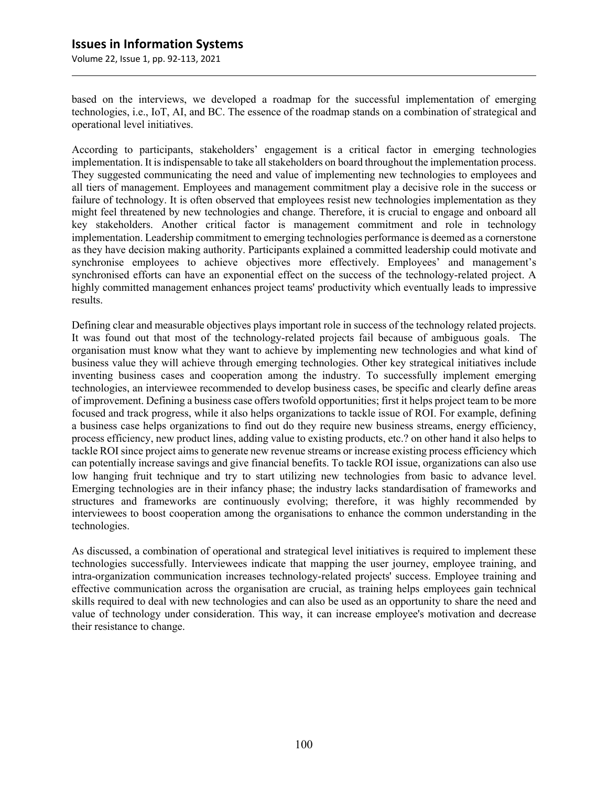based on the interviews, we developed a roadmap for the successful implementation of emerging technologies, i.e., IoT, AI, and BC. The essence of the roadmap stands on a combination of strategical and operational level initiatives.

According to participants, stakeholders' engagement is a critical factor in emerging technologies implementation. It is indispensable to take all stakeholders on board throughout the implementation process. They suggested communicating the need and value of implementing new technologies to employees and all tiers of management. Employees and management commitment play a decisive role in the success or failure of technology. It is often observed that employees resist new technologies implementation as they might feel threatened by new technologies and change. Therefore, it is crucial to engage and onboard all key stakeholders. Another critical factor is management commitment and role in technology implementation. Leadership commitment to emerging technologies performance is deemed as a cornerstone as they have decision making authority. Participants explained a committed leadership could motivate and synchronise employees to achieve objectives more effectively. Employees' and management's synchronised efforts can have an exponential effect on the success of the technology-related project. A highly committed management enhances project teams' productivity which eventually leads to impressive results.

Defining clear and measurable objectives plays important role in success of the technology related projects. It was found out that most of the technology-related projects fail because of ambiguous goals. The organisation must know what they want to achieve by implementing new technologies and what kind of business value they will achieve through emerging technologies. Other key strategical initiatives include inventing business cases and cooperation among the industry. To successfully implement emerging technologies, an interviewee recommended to develop business cases, be specific and clearly define areas of improvement. Defining a business case offers twofold opportunities; first it helps project team to be more focused and track progress, while it also helps organizations to tackle issue of ROI. For example, defining a business case helps organizations to find out do they require new business streams, energy efficiency, process efficiency, new product lines, adding value to existing products, etc.? on other hand it also helps to tackle ROI since project aims to generate new revenue streams or increase existing process efficiency which can potentially increase savings and give financial benefits. To tackle ROI issue, organizations can also use low hanging fruit technique and try to start utilizing new technologies from basic to advance level. Emerging technologies are in their infancy phase; the industry lacks standardisation of frameworks and structures and frameworks are continuously evolving; therefore, it was highly recommended by interviewees to boost cooperation among the organisations to enhance the common understanding in the technologies.

As discussed, a combination of operational and strategical level initiatives is required to implement these technologies successfully. Interviewees indicate that mapping the user journey, employee training, and intra-organization communication increases technology-related projects' success. Employee training and effective communication across the organisation are crucial, as training helps employees gain technical skills required to deal with new technologies and can also be used as an opportunity to share the need and value of technology under consideration. This way, it can increase employee's motivation and decrease their resistance to change.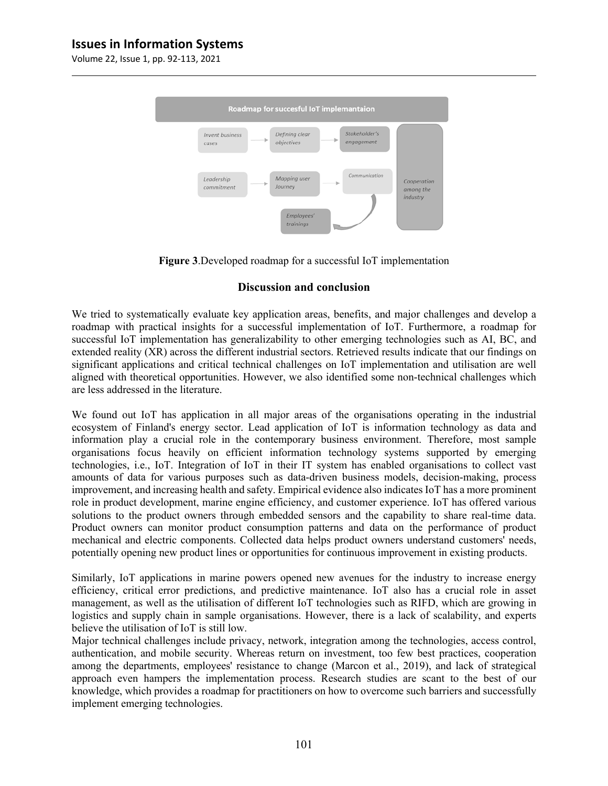Volume 22, Issue 1, pp. 92-113, 2021



**Figure 3**.Developed roadmap for a successful IoT implementation

#### **Discussion and conclusion**

We tried to systematically evaluate key application areas, benefits, and major challenges and develop a roadmap with practical insights for a successful implementation of IoT. Furthermore, a roadmap for successful IoT implementation has generalizability to other emerging technologies such as AI, BC, and extended reality (XR) across the different industrial sectors. Retrieved results indicate that our findings on significant applications and critical technical challenges on IoT implementation and utilisation are well aligned with theoretical opportunities. However, we also identified some non-technical challenges which are less addressed in the literature.

We found out IoT has application in all major areas of the organisations operating in the industrial ecosystem of Finland's energy sector. Lead application of IoT is information technology as data and information play a crucial role in the contemporary business environment. Therefore, most sample organisations focus heavily on efficient information technology systems supported by emerging technologies, i.e., IoT. Integration of IoT in their IT system has enabled organisations to collect vast amounts of data for various purposes such as data-driven business models, decision-making, process improvement, and increasing health and safety. Empirical evidence also indicates IoT has a more prominent role in product development, marine engine efficiency, and customer experience. IoT has offered various solutions to the product owners through embedded sensors and the capability to share real-time data. Product owners can monitor product consumption patterns and data on the performance of product mechanical and electric components. Collected data helps product owners understand customers' needs, potentially opening new product lines or opportunities for continuous improvement in existing products.

Similarly, IoT applications in marine powers opened new avenues for the industry to increase energy efficiency, critical error predictions, and predictive maintenance. IoT also has a crucial role in asset management, as well as the utilisation of different IoT technologies such as RIFD, which are growing in logistics and supply chain in sample organisations. However, there is a lack of scalability, and experts believe the utilisation of IoT is still low.

Major technical challenges include privacy, network, integration among the technologies, access control, authentication, and mobile security. Whereas return on investment, too few best practices, cooperation among the departments, employees' resistance to change (Marcon et al., 2019), and lack of strategical approach even hampers the implementation process. Research studies are scant to the best of our knowledge, which provides a roadmap for practitioners on how to overcome such barriers and successfully implement emerging technologies.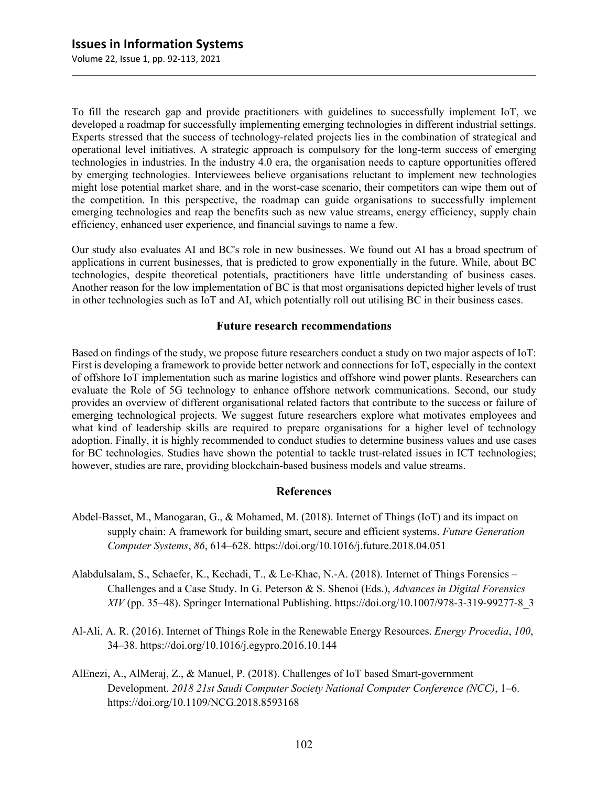To fill the research gap and provide practitioners with guidelines to successfully implement IoT, we developed a roadmap for successfully implementing emerging technologies in different industrial settings. Experts stressed that the success of technology-related projects lies in the combination of strategical and operational level initiatives. A strategic approach is compulsory for the long-term success of emerging technologies in industries. In the industry 4.0 era, the organisation needs to capture opportunities offered by emerging technologies. Interviewees believe organisations reluctant to implement new technologies might lose potential market share, and in the worst-case scenario, their competitors can wipe them out of the competition. In this perspective, the roadmap can guide organisations to successfully implement emerging technologies and reap the benefits such as new value streams, energy efficiency, supply chain efficiency, enhanced user experience, and financial savings to name a few.

Our study also evaluates AI and BC's role in new businesses. We found out AI has a broad spectrum of applications in current businesses, that is predicted to grow exponentially in the future. While, about BC technologies, despite theoretical potentials, practitioners have little understanding of business cases. Another reason for the low implementation of BC is that most organisations depicted higher levels of trust in other technologies such as IoT and AI, which potentially roll out utilising BC in their business cases.

#### **Future research recommendations**

Based on findings of the study, we propose future researchers conduct a study on two major aspects of IoT: First is developing a framework to provide better network and connections for IoT, especially in the context of offshore IoT implementation such as marine logistics and offshore wind power plants. Researchers can evaluate the Role of 5G technology to enhance offshore network communications. Second, our study provides an overview of different organisational related factors that contribute to the success or failure of emerging technological projects. We suggest future researchers explore what motivates employees and what kind of leadership skills are required to prepare organisations for a higher level of technology adoption. Finally, it is highly recommended to conduct studies to determine business values and use cases for BC technologies. Studies have shown the potential to tackle trust-related issues in ICT technologies; however, studies are rare, providing blockchain-based business models and value streams.

#### **References**

- Abdel-Basset, M., Manogaran, G., & Mohamed, M. (2018). Internet of Things (IoT) and its impact on supply chain: A framework for building smart, secure and efficient systems. *Future Generation Computer Systems*, *86*, 614–628. https://doi.org/10.1016/j.future.2018.04.051
- Alabdulsalam, S., Schaefer, K., Kechadi, T., & Le-Khac, N.-A. (2018). Internet of Things Forensics Challenges and a Case Study. In G. Peterson & S. Shenoi (Eds.), *Advances in Digital Forensics XIV* (pp. 35–48). Springer International Publishing. https://doi.org/10.1007/978-3-319-99277-8\_3
- Al-Ali, A. R. (2016). Internet of Things Role in the Renewable Energy Resources. *Energy Procedia*, *100*, 34–38. https://doi.org/10.1016/j.egypro.2016.10.144
- AlEnezi, A., AlMeraj, Z., & Manuel, P. (2018). Challenges of IoT based Smart-government Development. *2018 21st Saudi Computer Society National Computer Conference (NCC)*, 1–6. https://doi.org/10.1109/NCG.2018.8593168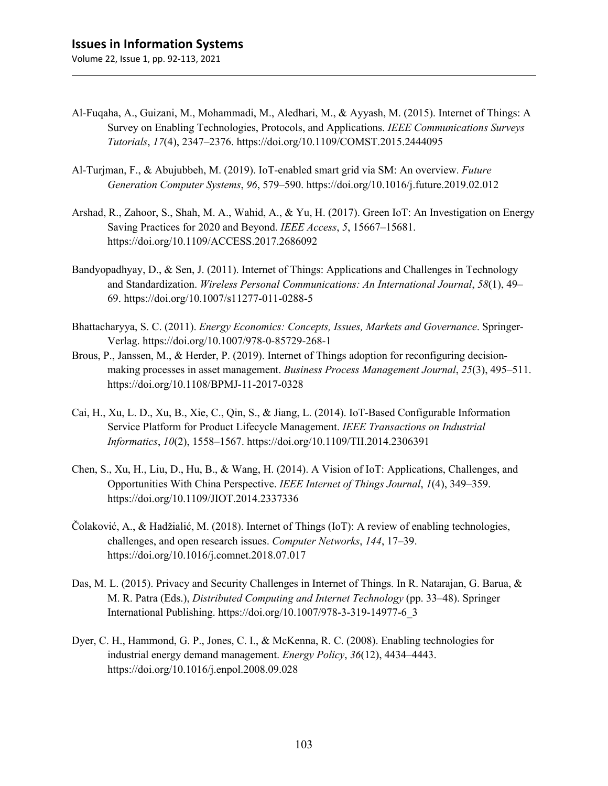- Al-Fuqaha, A., Guizani, M., Mohammadi, M., Aledhari, M., & Ayyash, M. (2015). Internet of Things: A Survey on Enabling Technologies, Protocols, and Applications. *IEEE Communications Surveys Tutorials*, *17*(4), 2347–2376. https://doi.org/10.1109/COMST.2015.2444095
- Al-Turjman, F., & Abujubbeh, M. (2019). IoT-enabled smart grid via SM: An overview. *Future Generation Computer Systems*, *96*, 579–590. https://doi.org/10.1016/j.future.2019.02.012
- Arshad, R., Zahoor, S., Shah, M. A., Wahid, A., & Yu, H. (2017). Green IoT: An Investigation on Energy Saving Practices for 2020 and Beyond. *IEEE Access*, *5*, 15667–15681. https://doi.org/10.1109/ACCESS.2017.2686092
- Bandyopadhyay, D., & Sen, J. (2011). Internet of Things: Applications and Challenges in Technology and Standardization. *Wireless Personal Communications: An International Journal*, *58*(1), 49– 69. https://doi.org/10.1007/s11277-011-0288-5
- Bhattacharyya, S. C. (2011). *Energy Economics: Concepts, Issues, Markets and Governance*. Springer-Verlag. https://doi.org/10.1007/978-0-85729-268-1
- Brous, P., Janssen, M., & Herder, P. (2019). Internet of Things adoption for reconfiguring decisionmaking processes in asset management. *Business Process Management Journal*, *25*(3), 495–511. https://doi.org/10.1108/BPMJ-11-2017-0328
- Cai, H., Xu, L. D., Xu, B., Xie, C., Qin, S., & Jiang, L. (2014). IoT-Based Configurable Information Service Platform for Product Lifecycle Management. *IEEE Transactions on Industrial Informatics*, *10*(2), 1558–1567. https://doi.org/10.1109/TII.2014.2306391
- Chen, S., Xu, H., Liu, D., Hu, B., & Wang, H. (2014). A Vision of IoT: Applications, Challenges, and Opportunities With China Perspective. *IEEE Internet of Things Journal*, *1*(4), 349–359. https://doi.org/10.1109/JIOT.2014.2337336
- Čolaković, A., & Hadžialić, M. (2018). Internet of Things (IoT): A review of enabling technologies, challenges, and open research issues. *Computer Networks*, *144*, 17–39. https://doi.org/10.1016/j.comnet.2018.07.017
- Das, M. L. (2015). Privacy and Security Challenges in Internet of Things. In R. Natarajan, G. Barua, & M. R. Patra (Eds.), *Distributed Computing and Internet Technology* (pp. 33–48). Springer International Publishing. https://doi.org/10.1007/978-3-319-14977-6\_3
- Dyer, C. H., Hammond, G. P., Jones, C. I., & McKenna, R. C. (2008). Enabling technologies for industrial energy demand management. *Energy Policy*, *36*(12), 4434–4443. https://doi.org/10.1016/j.enpol.2008.09.028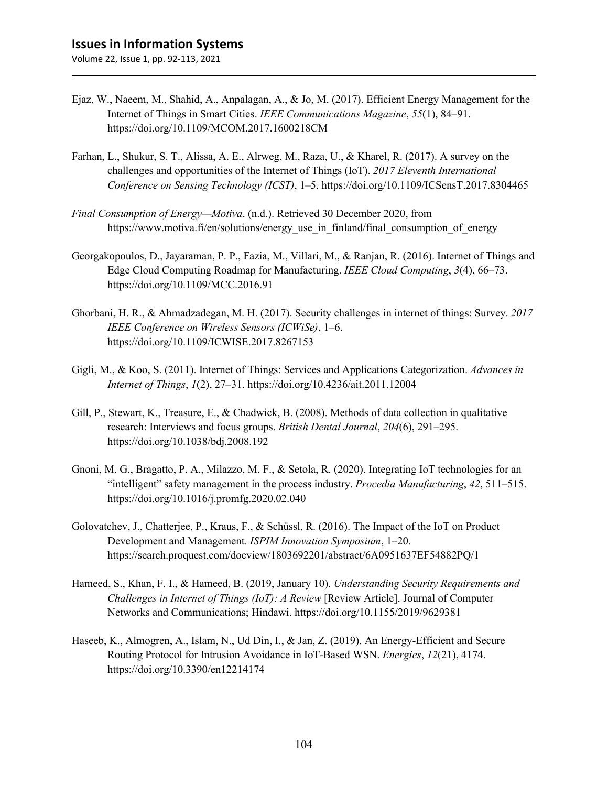- Ejaz, W., Naeem, M., Shahid, A., Anpalagan, A., & Jo, M. (2017). Efficient Energy Management for the Internet of Things in Smart Cities. *IEEE Communications Magazine*, *55*(1), 84–91. https://doi.org/10.1109/MCOM.2017.1600218CM
- Farhan, L., Shukur, S. T., Alissa, A. E., Alrweg, M., Raza, U., & Kharel, R. (2017). A survey on the challenges and opportunities of the Internet of Things (IoT). *2017 Eleventh International Conference on Sensing Technology (ICST)*, 1–5. https://doi.org/10.1109/ICSensT.2017.8304465
- *Final Consumption of Energy—Motiva*. (n.d.). Retrieved 30 December 2020, from https://www.motiva.fi/en/solutions/energy\_use\_in\_finland/final\_consumption\_of\_energy
- Georgakopoulos, D., Jayaraman, P. P., Fazia, M., Villari, M., & Ranjan, R. (2016). Internet of Things and Edge Cloud Computing Roadmap for Manufacturing. *IEEE Cloud Computing*, *3*(4), 66–73. https://doi.org/10.1109/MCC.2016.91
- Ghorbani, H. R., & Ahmadzadegan, M. H. (2017). Security challenges in internet of things: Survey. *2017 IEEE Conference on Wireless Sensors (ICWiSe)*, 1–6. https://doi.org/10.1109/ICWISE.2017.8267153
- Gigli, M., & Koo, S. (2011). Internet of Things: Services and Applications Categorization. *Advances in Internet of Things*, *1*(2), 27–31. https://doi.org/10.4236/ait.2011.12004
- Gill, P., Stewart, K., Treasure, E., & Chadwick, B. (2008). Methods of data collection in qualitative research: Interviews and focus groups. *British Dental Journal*, *204*(6), 291–295. https://doi.org/10.1038/bdj.2008.192
- Gnoni, M. G., Bragatto, P. A., Milazzo, M. F., & Setola, R. (2020). Integrating IoT technologies for an "intelligent" safety management in the process industry. *Procedia Manufacturing*, *42*, 511–515. https://doi.org/10.1016/j.promfg.2020.02.040
- Golovatchev, J., Chatterjee, P., Kraus, F., & Schüssl, R. (2016). The Impact of the IoT on Product Development and Management. *ISPIM Innovation Symposium*, 1–20. https://search.proquest.com/docview/1803692201/abstract/6A0951637EF54882PQ/1
- Hameed, S., Khan, F. I., & Hameed, B. (2019, January 10). *Understanding Security Requirements and Challenges in Internet of Things (IoT): A Review* [Review Article]. Journal of Computer Networks and Communications; Hindawi. https://doi.org/10.1155/2019/9629381
- Haseeb, K., Almogren, A., Islam, N., Ud Din, I., & Jan, Z. (2019). An Energy-Efficient and Secure Routing Protocol for Intrusion Avoidance in IoT-Based WSN. *Energies*, *12*(21), 4174. https://doi.org/10.3390/en12214174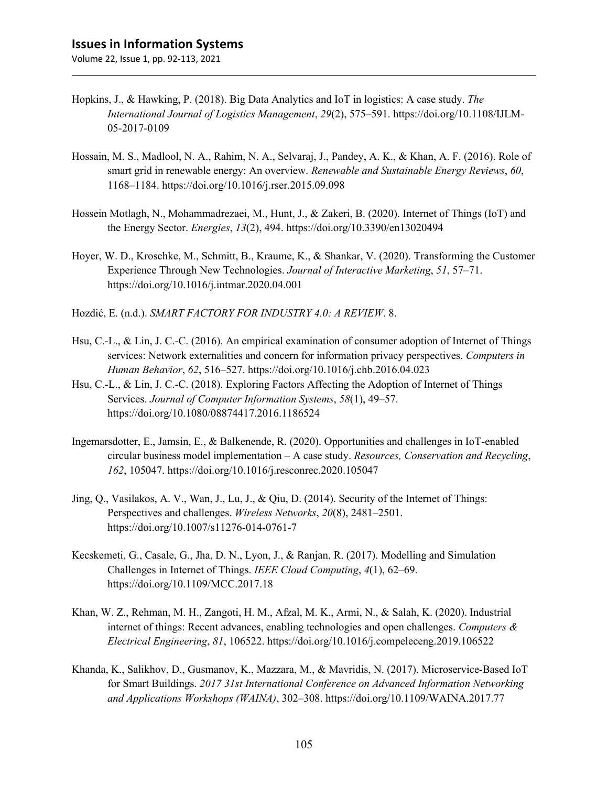- Hopkins, J., & Hawking, P. (2018). Big Data Analytics and IoT in logistics: A case study. *The International Journal of Logistics Management*, *29*(2), 575–591. https://doi.org/10.1108/IJLM-05-2017-0109
- Hossain, M. S., Madlool, N. A., Rahim, N. A., Selvaraj, J., Pandey, A. K., & Khan, A. F. (2016). Role of smart grid in renewable energy: An overview. *Renewable and Sustainable Energy Reviews*, *60*, 1168–1184. https://doi.org/10.1016/j.rser.2015.09.098
- Hossein Motlagh, N., Mohammadrezaei, M., Hunt, J., & Zakeri, B. (2020). Internet of Things (IoT) and the Energy Sector. *Energies*, *13*(2), 494. https://doi.org/10.3390/en13020494
- Hoyer, W. D., Kroschke, M., Schmitt, B., Kraume, K., & Shankar, V. (2020). Transforming the Customer Experience Through New Technologies. *Journal of Interactive Marketing*, *51*, 57–71. https://doi.org/10.1016/j.intmar.2020.04.001
- Hozdić, E. (n.d.). *SMART FACTORY FOR INDUSTRY 4.0: A REVIEW*. 8.
- Hsu, C.-L., & Lin, J. C.-C. (2016). An empirical examination of consumer adoption of Internet of Things services: Network externalities and concern for information privacy perspectives. *Computers in Human Behavior*, *62*, 516–527. https://doi.org/10.1016/j.chb.2016.04.023
- Hsu, C.-L., & Lin, J. C.-C. (2018). Exploring Factors Affecting the Adoption of Internet of Things Services. *Journal of Computer Information Systems*, *58*(1), 49–57. https://doi.org/10.1080/08874417.2016.1186524
- Ingemarsdotter, E., Jamsin, E., & Balkenende, R. (2020). Opportunities and challenges in IoT-enabled circular business model implementation – A case study. *Resources, Conservation and Recycling*, *162*, 105047. https://doi.org/10.1016/j.resconrec.2020.105047
- Jing, Q., Vasilakos, A. V., Wan, J., Lu, J., & Qiu, D. (2014). Security of the Internet of Things: Perspectives and challenges. *Wireless Networks*, *20*(8), 2481–2501. https://doi.org/10.1007/s11276-014-0761-7
- Kecskemeti, G., Casale, G., Jha, D. N., Lyon, J., & Ranjan, R. (2017). Modelling and Simulation Challenges in Internet of Things. *IEEE Cloud Computing*, *4*(1), 62–69. https://doi.org/10.1109/MCC.2017.18
- Khan, W. Z., Rehman, M. H., Zangoti, H. M., Afzal, M. K., Armi, N., & Salah, K. (2020). Industrial internet of things: Recent advances, enabling technologies and open challenges. *Computers & Electrical Engineering*, *81*, 106522. https://doi.org/10.1016/j.compeleceng.2019.106522
- Khanda, K., Salikhov, D., Gusmanov, K., Mazzara, M., & Mavridis, N. (2017). Microservice-Based IoT for Smart Buildings. *2017 31st International Conference on Advanced Information Networking and Applications Workshops (WAINA)*, 302–308. https://doi.org/10.1109/WAINA.2017.77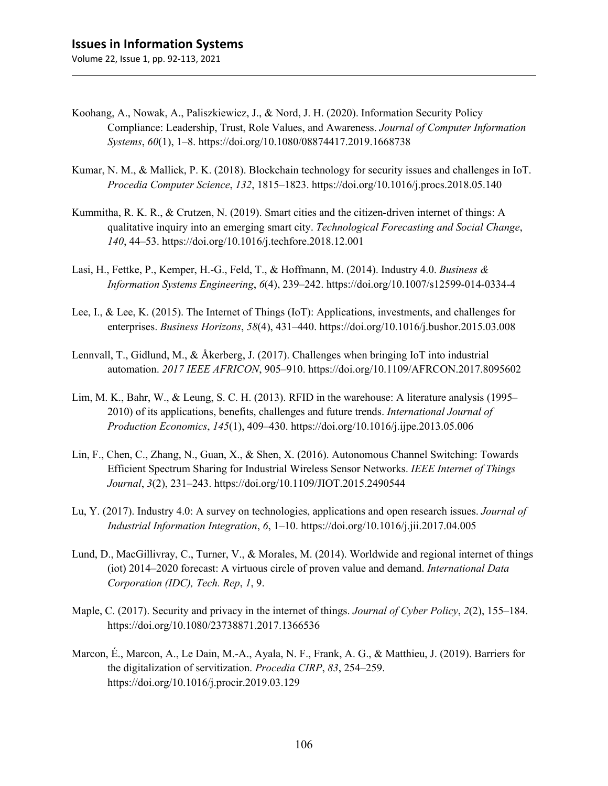- Koohang, A., Nowak, A., Paliszkiewicz, J., & Nord, J. H. (2020). Information Security Policy Compliance: Leadership, Trust, Role Values, and Awareness. *Journal of Computer Information Systems*, *60*(1), 1–8. https://doi.org/10.1080/08874417.2019.1668738
- Kumar, N. M., & Mallick, P. K. (2018). Blockchain technology for security issues and challenges in IoT. *Procedia Computer Science*, *132*, 1815–1823. https://doi.org/10.1016/j.procs.2018.05.140
- Kummitha, R. K. R., & Crutzen, N. (2019). Smart cities and the citizen-driven internet of things: A qualitative inquiry into an emerging smart city. *Technological Forecasting and Social Change*, *140*, 44–53. https://doi.org/10.1016/j.techfore.2018.12.001
- Lasi, H., Fettke, P., Kemper, H.-G., Feld, T., & Hoffmann, M. (2014). Industry 4.0. *Business & Information Systems Engineering*, *6*(4), 239–242. https://doi.org/10.1007/s12599-014-0334-4
- Lee, I., & Lee, K. (2015). The Internet of Things (IoT): Applications, investments, and challenges for enterprises. *Business Horizons*, *58*(4), 431–440. https://doi.org/10.1016/j.bushor.2015.03.008
- Lennvall, T., Gidlund, M., & Åkerberg, J. (2017). Challenges when bringing IoT into industrial automation. *2017 IEEE AFRICON*, 905–910. https://doi.org/10.1109/AFRCON.2017.8095602
- Lim, M. K., Bahr, W., & Leung, S. C. H. (2013). RFID in the warehouse: A literature analysis (1995– 2010) of its applications, benefits, challenges and future trends. *International Journal of Production Economics*, *145*(1), 409–430. https://doi.org/10.1016/j.ijpe.2013.05.006
- Lin, F., Chen, C., Zhang, N., Guan, X., & Shen, X. (2016). Autonomous Channel Switching: Towards Efficient Spectrum Sharing for Industrial Wireless Sensor Networks. *IEEE Internet of Things Journal*, *3*(2), 231–243. https://doi.org/10.1109/JIOT.2015.2490544
- Lu, Y. (2017). Industry 4.0: A survey on technologies, applications and open research issues. *Journal of Industrial Information Integration*, *6*, 1–10. https://doi.org/10.1016/j.jii.2017.04.005
- Lund, D., MacGillivray, C., Turner, V., & Morales, M. (2014). Worldwide and regional internet of things (iot) 2014–2020 forecast: A virtuous circle of proven value and demand. *International Data Corporation (IDC), Tech. Rep*, *1*, 9.
- Maple, C. (2017). Security and privacy in the internet of things. *Journal of Cyber Policy*, *2*(2), 155–184. https://doi.org/10.1080/23738871.2017.1366536
- Marcon, É., Marcon, A., Le Dain, M.-A., Ayala, N. F., Frank, A. G., & Matthieu, J. (2019). Barriers for the digitalization of servitization. *Procedia CIRP*, *83*, 254–259. https://doi.org/10.1016/j.procir.2019.03.129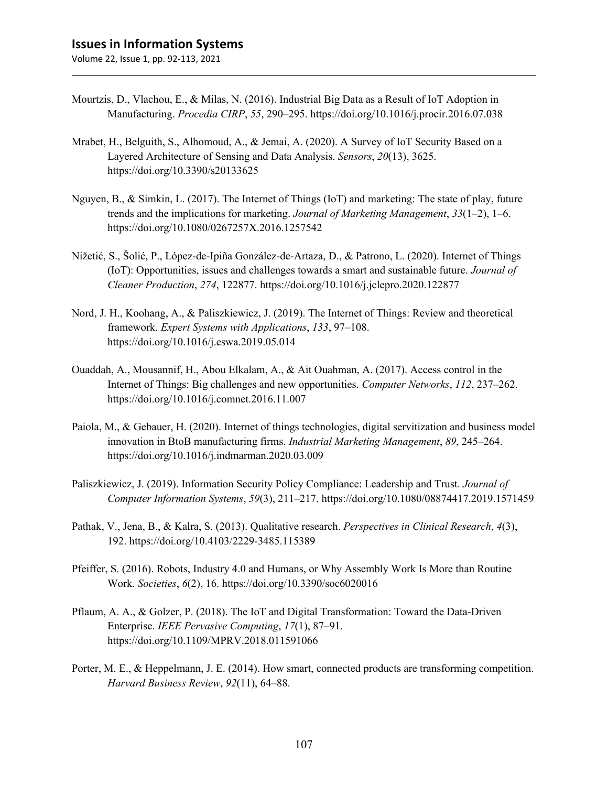- Mourtzis, D., Vlachou, E., & Milas, N. (2016). Industrial Big Data as a Result of IoT Adoption in Manufacturing. *Procedia CIRP*, *55*, 290–295. https://doi.org/10.1016/j.procir.2016.07.038
- Mrabet, H., Belguith, S., Alhomoud, A., & Jemai, A. (2020). A Survey of IoT Security Based on a Layered Architecture of Sensing and Data Analysis. *Sensors*, *20*(13), 3625. https://doi.org/10.3390/s20133625
- Nguyen, B., & Simkin, L. (2017). The Internet of Things (IoT) and marketing: The state of play, future trends and the implications for marketing. *Journal of Marketing Management*, *33*(1–2), 1–6. https://doi.org/10.1080/0267257X.2016.1257542
- Nižetić, S., Šolić, P., López-de-Ipiña González-de-Artaza, D., & Patrono, L. (2020). Internet of Things (IoT): Opportunities, issues and challenges towards a smart and sustainable future. *Journal of Cleaner Production*, *274*, 122877. https://doi.org/10.1016/j.jclepro.2020.122877
- Nord, J. H., Koohang, A., & Paliszkiewicz, J. (2019). The Internet of Things: Review and theoretical framework. *Expert Systems with Applications*, *133*, 97–108. https://doi.org/10.1016/j.eswa.2019.05.014
- Ouaddah, A., Mousannif, H., Abou Elkalam, A., & Ait Ouahman, A. (2017). Access control in the Internet of Things: Big challenges and new opportunities. *Computer Networks*, *112*, 237–262. https://doi.org/10.1016/j.comnet.2016.11.007
- Paiola, M., & Gebauer, H. (2020). Internet of things technologies, digital servitization and business model innovation in BtoB manufacturing firms. *Industrial Marketing Management*, *89*, 245–264. https://doi.org/10.1016/j.indmarman.2020.03.009
- Paliszkiewicz, J. (2019). Information Security Policy Compliance: Leadership and Trust. *Journal of Computer Information Systems*, *59*(3), 211–217. https://doi.org/10.1080/08874417.2019.1571459
- Pathak, V., Jena, B., & Kalra, S. (2013). Qualitative research. *Perspectives in Clinical Research*, *4*(3), 192. https://doi.org/10.4103/2229-3485.115389
- Pfeiffer, S. (2016). Robots, Industry 4.0 and Humans, or Why Assembly Work Is More than Routine Work. *Societies*, *6*(2), 16. https://doi.org/10.3390/soc6020016
- Pflaum, A. A., & Golzer, P. (2018). The IoT and Digital Transformation: Toward the Data-Driven Enterprise. *IEEE Pervasive Computing*, *17*(1), 87–91. https://doi.org/10.1109/MPRV.2018.011591066
- Porter, M. E., & Heppelmann, J. E. (2014). How smart, connected products are transforming competition. *Harvard Business Review*, *92*(11), 64–88.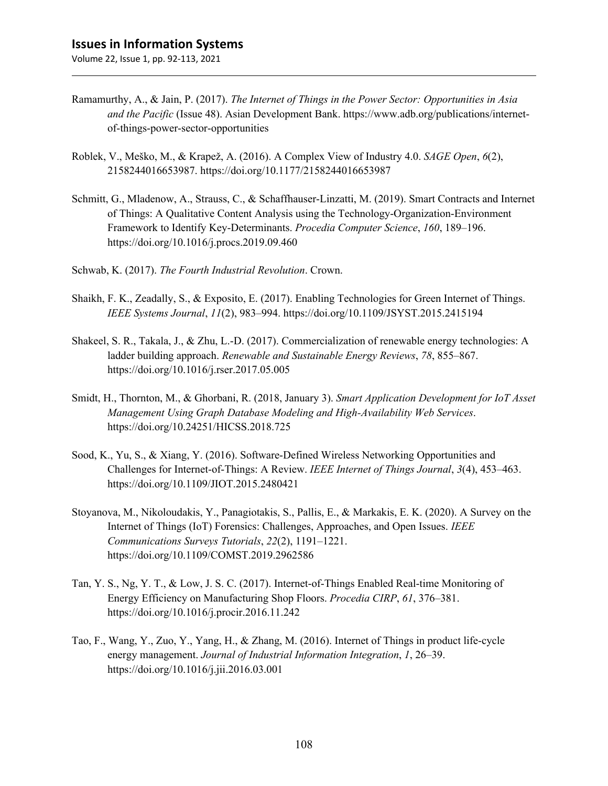- Ramamurthy, A., & Jain, P. (2017). *The Internet of Things in the Power Sector: Opportunities in Asia and the Pacific* (Issue 48). Asian Development Bank. https://www.adb.org/publications/internetof-things-power-sector-opportunities
- Roblek, V., Meško, M., & Krapež, A. (2016). A Complex View of Industry 4.0. *SAGE Open*, *6*(2), 2158244016653987. https://doi.org/10.1177/2158244016653987
- Schmitt, G., Mladenow, A., Strauss, C., & Schaffhauser-Linzatti, M. (2019). Smart Contracts and Internet of Things: A Qualitative Content Analysis using the Technology-Organization-Environment Framework to Identify Key-Determinants. *Procedia Computer Science*, *160*, 189–196. https://doi.org/10.1016/j.procs.2019.09.460
- Schwab, K. (2017). *The Fourth Industrial Revolution*. Crown.
- Shaikh, F. K., Zeadally, S., & Exposito, E. (2017). Enabling Technologies for Green Internet of Things. *IEEE Systems Journal*, *11*(2), 983–994. https://doi.org/10.1109/JSYST.2015.2415194
- Shakeel, S. R., Takala, J., & Zhu, L.-D. (2017). Commercialization of renewable energy technologies: A ladder building approach. *Renewable and Sustainable Energy Reviews*, *78*, 855–867. https://doi.org/10.1016/j.rser.2017.05.005
- Smidt, H., Thornton, M., & Ghorbani, R. (2018, January 3). *Smart Application Development for IoT Asset Management Using Graph Database Modeling and High-Availability Web Services*. https://doi.org/10.24251/HICSS.2018.725
- Sood, K., Yu, S., & Xiang, Y. (2016). Software-Defined Wireless Networking Opportunities and Challenges for Internet-of-Things: A Review. *IEEE Internet of Things Journal*, *3*(4), 453–463. https://doi.org/10.1109/JIOT.2015.2480421
- Stoyanova, M., Nikoloudakis, Y., Panagiotakis, S., Pallis, E., & Markakis, E. K. (2020). A Survey on the Internet of Things (IoT) Forensics: Challenges, Approaches, and Open Issues. *IEEE Communications Surveys Tutorials*, *22*(2), 1191–1221. https://doi.org/10.1109/COMST.2019.2962586
- Tan, Y. S., Ng, Y. T., & Low, J. S. C. (2017). Internet-of-Things Enabled Real-time Monitoring of Energy Efficiency on Manufacturing Shop Floors. *Procedia CIRP*, *61*, 376–381. https://doi.org/10.1016/j.procir.2016.11.242
- Tao, F., Wang, Y., Zuo, Y., Yang, H., & Zhang, M. (2016). Internet of Things in product life-cycle energy management. *Journal of Industrial Information Integration*, *1*, 26–39. https://doi.org/10.1016/j.jii.2016.03.001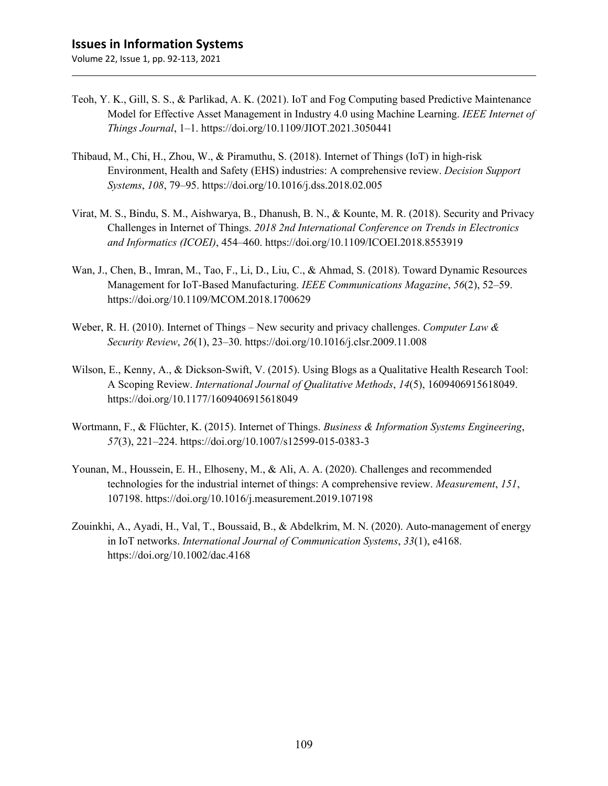- Teoh, Y. K., Gill, S. S., & Parlikad, A. K. (2021). IoT and Fog Computing based Predictive Maintenance Model for Effective Asset Management in Industry 4.0 using Machine Learning. *IEEE Internet of Things Journal*, 1–1. https://doi.org/10.1109/JIOT.2021.3050441
- Thibaud, M., Chi, H., Zhou, W., & Piramuthu, S. (2018). Internet of Things (IoT) in high-risk Environment, Health and Safety (EHS) industries: A comprehensive review. *Decision Support Systems*, *108*, 79–95. https://doi.org/10.1016/j.dss.2018.02.005
- Virat, M. S., Bindu, S. M., Aishwarya, B., Dhanush, B. N., & Kounte, M. R. (2018). Security and Privacy Challenges in Internet of Things. *2018 2nd International Conference on Trends in Electronics and Informatics (ICOEI)*, 454–460. https://doi.org/10.1109/ICOEI.2018.8553919
- Wan, J., Chen, B., Imran, M., Tao, F., Li, D., Liu, C., & Ahmad, S. (2018). Toward Dynamic Resources Management for IoT-Based Manufacturing. *IEEE Communications Magazine*, *56*(2), 52–59. https://doi.org/10.1109/MCOM.2018.1700629
- Weber, R. H. (2010). Internet of Things New security and privacy challenges. *Computer Law & Security Review*, *26*(1), 23–30. https://doi.org/10.1016/j.clsr.2009.11.008
- Wilson, E., Kenny, A., & Dickson-Swift, V. (2015). Using Blogs as a Qualitative Health Research Tool: A Scoping Review. *International Journal of Qualitative Methods*, *14*(5), 1609406915618049. https://doi.org/10.1177/1609406915618049
- Wortmann, F., & Flüchter, K. (2015). Internet of Things. *Business & Information Systems Engineering*, *57*(3), 221–224. https://doi.org/10.1007/s12599-015-0383-3
- Younan, M., Houssein, E. H., Elhoseny, M., & Ali, A. A. (2020). Challenges and recommended technologies for the industrial internet of things: A comprehensive review. *Measurement*, *151*, 107198. https://doi.org/10.1016/j.measurement.2019.107198
- Zouinkhi, A., Ayadi, H., Val, T., Boussaid, B., & Abdelkrim, M. N. (2020). Auto-management of energy in IoT networks. *International Journal of Communication Systems*, *33*(1), e4168. https://doi.org/10.1002/dac.4168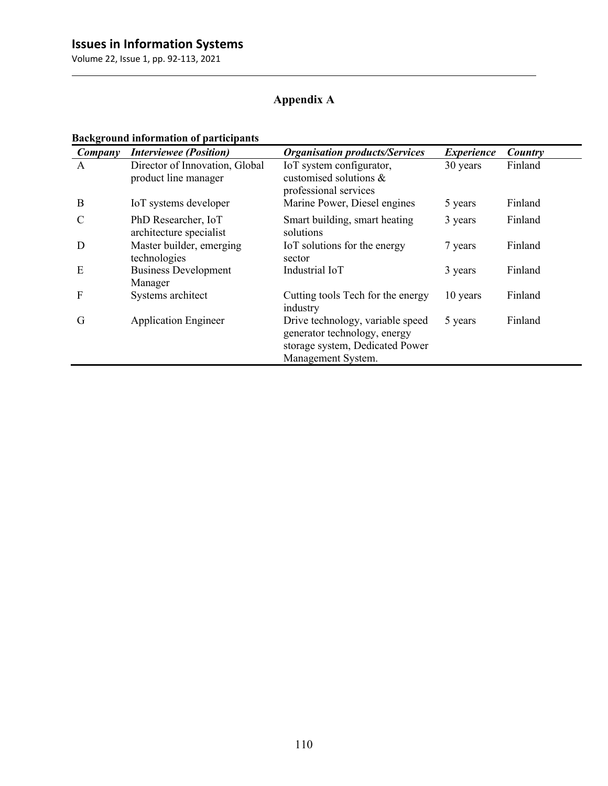## **Appendix A**

## **Background information of participants**

| Company       | <b>Interviewee</b> (Position)                          | <b>Organisation products/Services</b>                                                                                     | <b>Experience</b> | Country |
|---------------|--------------------------------------------------------|---------------------------------------------------------------------------------------------------------------------------|-------------------|---------|
| A             | Director of Innovation, Global<br>product line manager | IoT system configurator,<br>customised solutions &<br>professional services                                               | 30 years          | Finland |
| B             | IoT systems developer                                  | Marine Power, Diesel engines                                                                                              | 5 years           | Finland |
| $\mathcal{C}$ | PhD Researcher, IoT<br>architecture specialist         | Smart building, smart heating<br>solutions                                                                                | 3 years           | Finland |
| D             | Master builder, emerging<br>technologies               | IoT solutions for the energy<br>sector                                                                                    | 7 years           | Finland |
| E             | <b>Business Development</b><br>Manager                 | Industrial IoT                                                                                                            | 3 years           | Finland |
| F             | Systems architect                                      | Cutting tools Tech for the energy<br>industry                                                                             | 10 years          | Finland |
| G             | <b>Application Engineer</b>                            | Drive technology, variable speed<br>generator technology, energy<br>storage system, Dedicated Power<br>Management System. | 5 years           | Finland |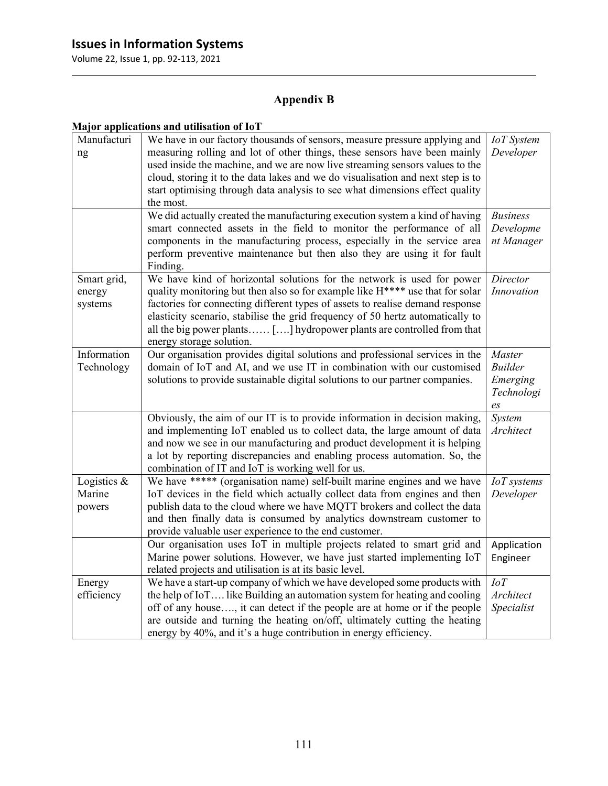Volume 22, Issue 1, pp. 92-113, 2021

## **Appendix B**

## **Major applications and utilisation of IoT**

| Manufacturi              | We have in our factory thousands of sensors, measure pressure applying and                                                                                      | <b>IoT</b> System        |
|--------------------------|-----------------------------------------------------------------------------------------------------------------------------------------------------------------|--------------------------|
| ng                       | measuring rolling and lot of other things, these sensors have been mainly<br>used inside the machine, and we are now live streaming sensors values to the       | Developer                |
|                          | cloud, storing it to the data lakes and we do visualisation and next step is to                                                                                 |                          |
|                          | start optimising through data analysis to see what dimensions effect quality                                                                                    |                          |
|                          | the most.                                                                                                                                                       |                          |
|                          | We did actually created the manufacturing execution system a kind of having                                                                                     | <b>Business</b>          |
|                          | smart connected assets in the field to monitor the performance of all<br>components in the manufacturing process, especially in the service area                | Developme<br>nt Manager  |
|                          | perform preventive maintenance but then also they are using it for fault<br>Finding.                                                                            |                          |
| Smart grid,              | We have kind of horizontal solutions for the network is used for power                                                                                          | Director                 |
| energy                   | quality monitoring but then also so for example like H**** use that for solar                                                                                   | Innovation               |
| systems                  | factories for connecting different types of assets to realise demand response<br>elasticity scenario, stabilise the grid frequency of 50 hertz automatically to |                          |
|                          | all the big power plants [] hydropower plants are controlled from that                                                                                          |                          |
|                          | energy storage solution.                                                                                                                                        |                          |
| Information              | Our organisation provides digital solutions and professional services in the                                                                                    | Master<br><b>Builder</b> |
| Technology               | domain of IoT and AI, and we use IT in combination with our customised<br>solutions to provide sustainable digital solutions to our partner companies.          | Emerging                 |
|                          |                                                                                                                                                                 | Technologi               |
|                          |                                                                                                                                                                 | $\mathfrak{e}_S$         |
|                          | Obviously, the aim of our IT is to provide information in decision making,<br>and implementing IoT enabled us to collect data, the large amount of data         | System<br>Architect      |
|                          | and now we see in our manufacturing and product development it is helping                                                                                       |                          |
|                          | a lot by reporting discrepancies and enabling process automation. So, the                                                                                       |                          |
|                          | combination of IT and IoT is working well for us.                                                                                                               |                          |
| Logistics $\&$<br>Marine | We have ***** (organisation name) self-built marine engines and we have<br>IoT devices in the field which actually collect data from engines and then           | IoT systems<br>Developer |
| powers                   | publish data to the cloud where we have MQTT brokers and collect the data                                                                                       |                          |
|                          | and then finally data is consumed by analytics downstream customer to                                                                                           |                          |
|                          | provide valuable user experience to the end customer.                                                                                                           |                          |
|                          | Our organisation uses IoT in multiple projects related to smart grid and                                                                                        | Application              |
|                          | Marine power solutions. However, we have just started implementing IoT<br>related projects and utilisation is at its basic level.                               | Engineer                 |
| Energy                   | We have a start-up company of which we have developed some products with                                                                                        | IoT                      |
| efficiency               | the help of IoT like Building an automation system for heating and cooling                                                                                      | Architect                |
|                          | off of any house, it can detect if the people are at home or if the people<br>are outside and turning the heating on/off, ultimately cutting the heating        | Specialist               |
|                          | energy by 40%, and it's a huge contribution in energy efficiency.                                                                                               |                          |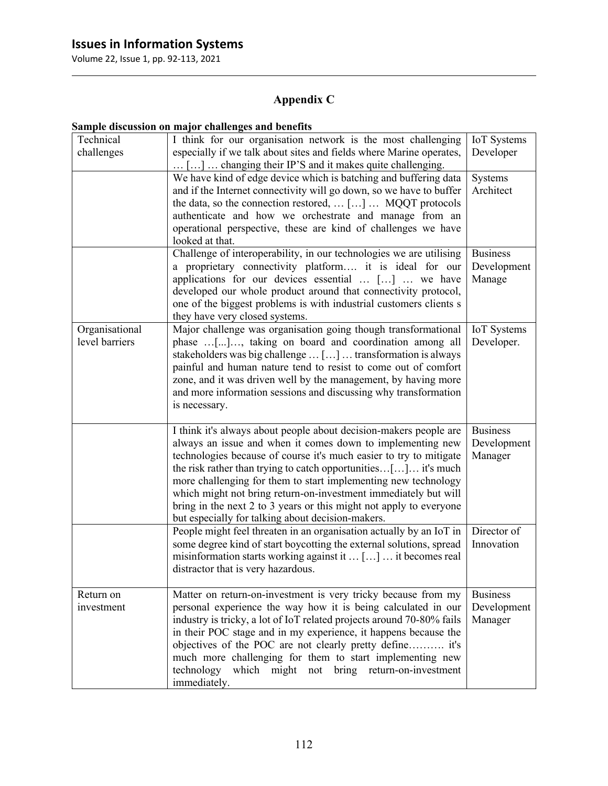Volume 22, Issue 1, pp. 92-113, 2021

## **Appendix C**

|                                  | защріє пізсизмон он ніајог спанендез ани рененіз                                                                                                                                                                                                                                                                                                                                                                                                                                                                                                      |                                           |
|----------------------------------|-------------------------------------------------------------------------------------------------------------------------------------------------------------------------------------------------------------------------------------------------------------------------------------------------------------------------------------------------------------------------------------------------------------------------------------------------------------------------------------------------------------------------------------------------------|-------------------------------------------|
| Technical<br>challenges          | I think for our organisation network is the most challenging<br>especially if we talk about sites and fields where Marine operates,<br>[]  changing their IP'S and it makes quite challenging.                                                                                                                                                                                                                                                                                                                                                        | IoT Systems<br>Developer                  |
|                                  | We have kind of edge device which is batching and buffering data<br>and if the Internet connectivity will go down, so we have to buffer<br>the data, so the connection restored,  []  MQQT protocols<br>authenticate and how we orchestrate and manage from an<br>operational perspective, these are kind of challenges we have<br>looked at that.                                                                                                                                                                                                    | Systems<br>Architect                      |
|                                  | Challenge of interoperability, in our technologies we are utilising<br>a proprietary connectivity platform it is ideal for our<br>applications for our devices essential  []  we have<br>developed our whole product around that connectivity protocol,<br>one of the biggest problems is with industrial customers clients s<br>they have very closed systems.                                                                                                                                                                                       | <b>Business</b><br>Development<br>Manage  |
| Organisational<br>level barriers | Major challenge was organisation going though transformational<br>phase [], taking on board and coordination among all<br>stakeholders was big challenge  []  transformation is always<br>painful and human nature tend to resist to come out of comfort<br>zone, and it was driven well by the management, by having more<br>and more information sessions and discussing why transformation<br>is necessary.                                                                                                                                        | IoT Systems<br>Developer.                 |
|                                  | I think it's always about people about decision-makers people are<br>always an issue and when it comes down to implementing new<br>technologies because of course it's much easier to try to mitigate<br>the risk rather than trying to catch opportunities $[\dots] \dots$ it's much<br>more challenging for them to start implementing new technology<br>which might not bring return-on-investment immediately but will<br>bring in the next 2 to 3 years or this might not apply to everyone<br>but especially for talking about decision-makers. | <b>Business</b><br>Development<br>Manager |
|                                  | People might feel threaten in an organisation actually by an IoT in<br>some degree kind of start boycotting the external solutions, spread<br>misinformation starts working against it  []  it becomes real<br>distractor that is very hazardous.                                                                                                                                                                                                                                                                                                     | Director of<br>Innovation                 |
| Return on<br>investment          | Matter on return-on-investment is very tricky because from my<br>personal experience the way how it is being calculated in our<br>industry is tricky, a lot of IoT related projects around 70-80% fails<br>in their POC stage and in my experience, it happens because the<br>objectives of the POC are not clearly pretty define it's<br>much more challenging for them to start implementing new<br>technology<br>which might not bring return-on-investment<br>immediately.                                                                        | <b>Business</b><br>Development<br>Manager |

### **Sample discussion on major challenges and benefits**